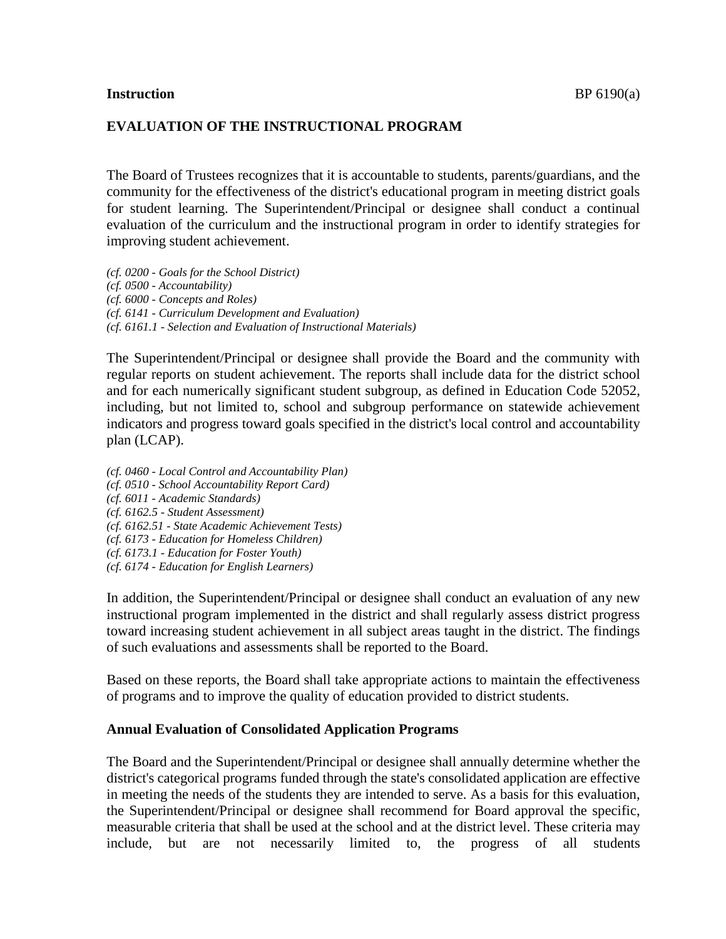## **EVALUATION OF THE INSTRUCTIONAL PROGRAM**

The Board of Trustees recognizes that it is accountable to students, parents/guardians, and the community for the effectiveness of the district's educational program in meeting district goals for student learning. The Superintendent/Principal or designee shall conduct a continual evaluation of the curriculum and the instructional program in order to identify strategies for improving student achievement.

*(cf. 0200 - Goals for the School District) (cf. 0500 - Accountability) (cf. 6000 - Concepts and Roles) (cf. 6141 - Curriculum Development and Evaluation) (cf. 6161.1 - Selection and Evaluation of Instructional Materials)*

The Superintendent/Principal or designee shall provide the Board and the community with regular reports on student achievement. The reports shall include data for the district school and for each numerically significant student subgroup, as defined in Education Code 52052, including, but not limited to, school and subgroup performance on statewide achievement indicators and progress toward goals specified in the district's local control and accountability plan (LCAP).

*(cf. 0460 - Local Control and Accountability Plan) (cf. 0510 - School Accountability Report Card) (cf. 6011 - Academic Standards) (cf. 6162.5 - Student Assessment) (cf. 6162.51 - State Academic Achievement Tests) (cf. 6173 - Education for Homeless Children) (cf. 6173.1 - Education for Foster Youth) (cf. 6174 - Education for English Learners)*

In addition, the Superintendent/Principal or designee shall conduct an evaluation of any new instructional program implemented in the district and shall regularly assess district progress toward increasing student achievement in all subject areas taught in the district. The findings of such evaluations and assessments shall be reported to the Board.

Based on these reports, the Board shall take appropriate actions to maintain the effectiveness of programs and to improve the quality of education provided to district students.

## **Annual Evaluation of Consolidated Application Programs**

The Board and the Superintendent/Principal or designee shall annually determine whether the district's categorical programs funded through the state's consolidated application are effective in meeting the needs of the students they are intended to serve. As a basis for this evaluation, the Superintendent/Principal or designee shall recommend for Board approval the specific, measurable criteria that shall be used at the school and at the district level. These criteria may include, but are not necessarily limited to, the progress of all students